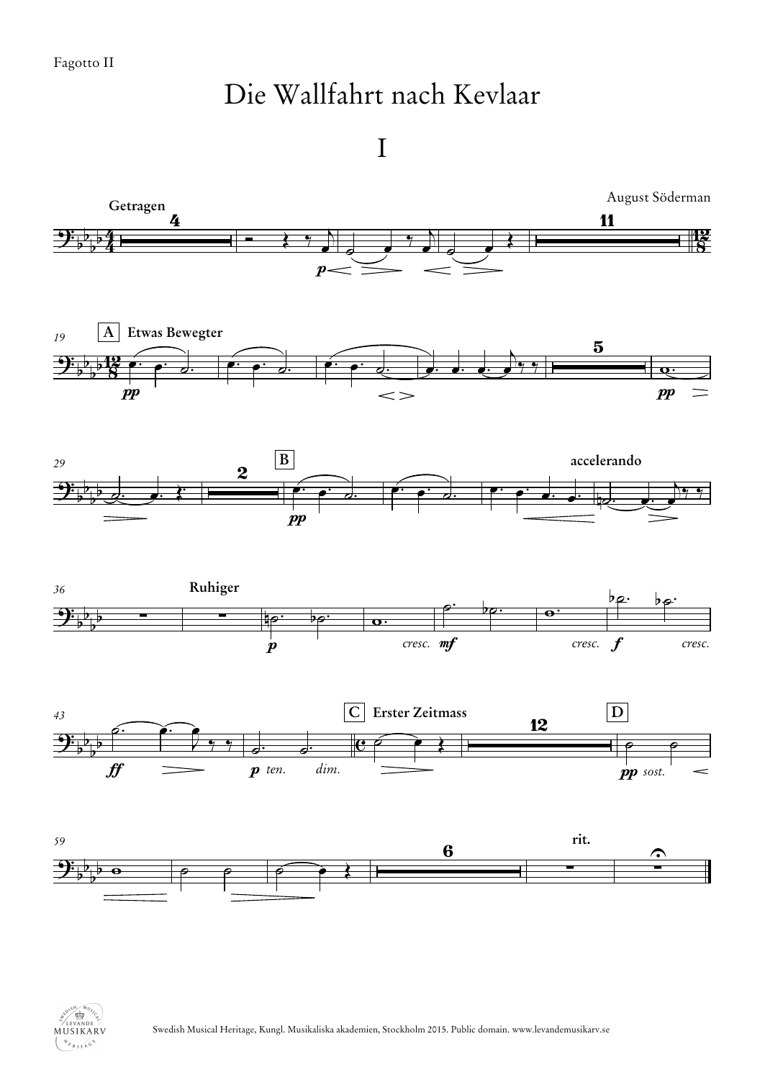## Die Wallfahrt nach Kevlaar

I

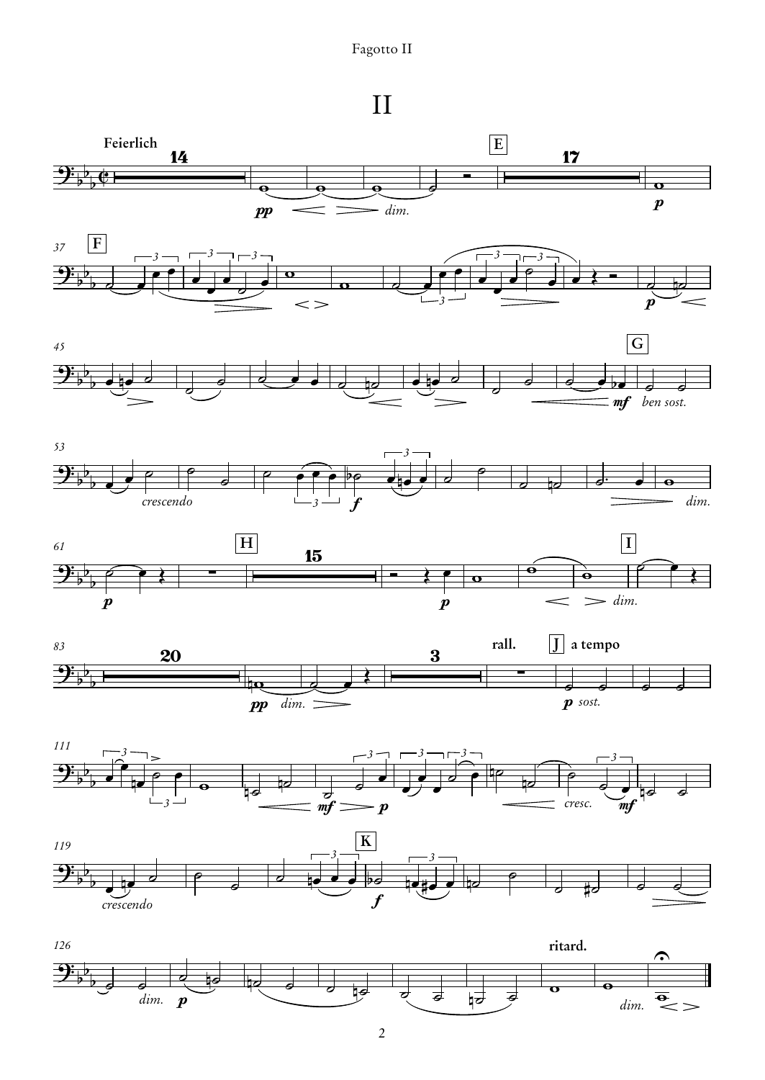## Fagotto II

II